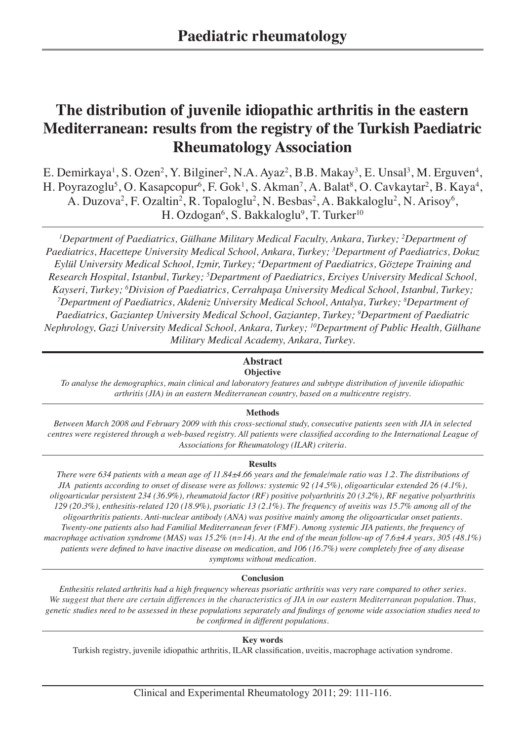# **The distribution of juvenile idiopathic arthritis in the eastern Mediterranean: results from the registry of the Turkish Paediatric Rheumatology Association**

E. Demirkaya<sup>1</sup>, S. Ozen<sup>2</sup>, Y. Bilginer<sup>2</sup>, N.A. Ayaz<sup>2</sup>, B.B. Makay<sup>3</sup>, E. Unsal<sup>3</sup>, M. Erguven<sup>4</sup>, H. Poyrazoglu<sup>5</sup>, O. Kasapcopur<sup>6</sup>, F. Gok<sup>1</sup>, S. Akman<sup>7</sup>, A. Balat<sup>8</sup>, O. Cavkaytar<sup>2</sup>, B. Kaya<sup>4</sup>, A. Duzova<sup>2</sup>, F. Ozaltin<sup>2</sup>, R. Topaloglu<sup>2</sup>, N. Besbas<sup>2</sup>, A. Bakkaloglu<sup>2</sup>, N. Arisoy<sup>6</sup>, H. Ozdogan<sup>6</sup>, S. Bakkaloglu<sup>9</sup>, T. Turker<sup>10</sup>

<sup>1</sup>Department of Paediatrics, Gülhane Military Medical Faculty, Ankara, Turkey; <sup>2</sup>Department of *Paediatrics, Hacettepe University Medical School, Ankara, Turkey; 3 Department of Paediatrics, Dokuz Eylül University Medical School, Izmir, Turkey; 4 Department of Paediatrics, Göztepe Training and Research Hospital, Istanbul, Turkey; 5 Department of Paediatrics, Erciyes University Medical School, Kayseri, Turkey; 6 Division of Paediatrics, Cerrahpaşa University Medical School, Istanbul, Turkey; 7 Department of Paediatrics, Akdeniz University Medical School, Antalya, Turkey; 8 Department of Paediatrics, Gaziantep University Medical School, Gaziantep, Turkey; 9 Department of Paediatric Nephrology, Gazi University Medical School, Ankara, Turkey; 10Department of Public Health, Gülhane Military Medical Academy, Ankara, Turkey.*

# **Abstract**

# **Objective**

*To analyse the demographics, main clinical and laboratory features and subtype distribution of juvenile idiopathic arthritis (JIA) in an eastern Mediterranean country, based on a multicentre registry.*

# **Methods**

*Between March 2008 and February 2009 with this cross-sectional study, consecutive patients seen with JIA in selected centres were registered through a web-based registry. All patients were classified according to the International League of Associations for Rheumatology (ILAR) criteria.* 

# **Results**

*There were 634 patients with a mean age of 11.84±4.66 years and the female/male ratio was 1.2. The distributions of JIA patients according to onset of disease were as follows: systemic 92 (14.5%), oligoarticular extended 26 (4.1%), oligoarticular persistent 234 (36.9%), rheumatoid factor (RF) positive polyarthritis 20 (3.2%), RF negative polyarthritis 129 (20.3%), enthesitis-related 120 (18.9%), psoriatic 13 (2.1%). The frequency of uveitis was 15.7% among all of the oligoarthritis patients. Anti-nuclear antibody (ANA) was positive mainly among the oligoarticular onset patients. Twenty-one patients also had Familial Mediterranean fever (FMF). Among systemic JIA patients, the frequency of macrophage activation syndrome (MAS) was 15.2% (n=14). At the end of the mean follow-up of 7.6±4.4 years, 305 (48.1%) patients were defined to have inactive disease on medication, and 106 (16.7%) were completely free of any disease symptoms without medication.*

# **Conclusion**

*Enthesitis related arthritis had a high frequency whereas psoriatic arthritis was very rare compared to other series. We suggest that there are certain differences in the characteristics of JIA in our eastern Mediterranean population. Thus, genetic studies need to be assessed in these populations separately and findings of genome wide association studies need to be confirmed in different populations.*

## **Key words**

Turkish registry, juvenile idiopathic arthritis, ILAR classification, uveitis, macrophage activation syndrome.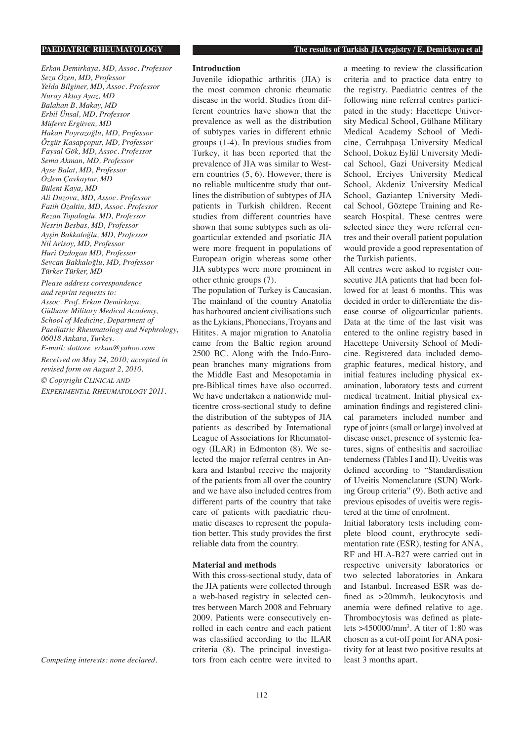*Erkan Demirkaya, MD, Assoc. Professor Seza Özen, MD, Professor Yelda Bilginer, MD, Assoc. Professor Nuray Aktay Ayaz, MD Balahan B. Makay, MD Erbil Ünsal, MD, Professor Müferet Ergüven, MD Hakan Poyrazoğlu, MD, Professor Özgür Kasapçopur, MD, Professor Faysal Gök, MD, Assoc. Professor Sema Akman, MD, Professor Ayse Balat, MD, Professor Özlem Çavkaytar, MD Bülent Kaya, MD Ali Duzova, MD, Assoc. Professor Fatih Ozaltin, MD, Assoc. Professor Rezan Topaloglu, MD, Professor Nesrin Besbas, MD, Professor Ayşin Bakkaloğlu, MD, Professor Nil Arisoy, MD, Professor Huri Ozdogan MD, Professor Sevcan Bakkaloğlu, MD, Professor Türker Türker, MD*

*Please address correspondence and reprint requests to: Assoc. Prof. Erkan Demirkaya, Gülhane Military Medical Academy, School of Medicine, Department of Paediatric Rheumatology and Nephrology, 06018 Ankara, Turkey. E-mail: dottore\_erkan@yahoo.com*

*Received on May 24, 2010; accepted in revised form on August 2, 2010.*

*© Copyright CLINICAL AND EXPERIMENTAL RHEUMATOLOGY 2011.*

*Competing interests: none declared.*

**PAEDIATRIC RHEUMATOLOGY The results of Turkish JIA registry / E. Demirkaya et al.**

#### **Introduction**

Juvenile idiopathic arthritis (JIA) is the most common chronic rheumatic disease in the world. Studies from different countries have shown that the prevalence as well as the distribution of subtypes varies in different ethnic groups (1-4). In previous studies from Turkey, it has been reported that the prevalence of JIA was similar to Western countries (5, 6). However, there is no reliable multicentre study that outlines the distribution of subtypes of JIA patients in Turkish children. Recent studies from different countries have shown that some subtypes such as oligoarticular extended and psoriatic JIA were more frequent in populations of European origin whereas some other JIA subtypes were more prominent in other ethnic groups (7).

The population of Turkey is Caucasian. The mainland of the country Anatolia has harboured ancient civilisations such as the Lykians, Phonecians, Troyans and Hitites. A major migration to Anatolia came from the Baltic region around 2500 BC. Along with the Indo-European branches many migrations from the Middle East and Mesopotamia in pre-Biblical times have also occurred. We have undertaken a nationwide multicentre cross-sectional study to define the distribution of the subtypes of JIA patients as described by International League of Associations for Rheumatology (ILAR) in Edmonton (8). We selected the major referral centres in Ankara and Istanbul receive the majority of the patients from all over the country and we have also included centres from different parts of the country that take care of patients with paediatric rheumatic diseases to represent the population better. This study provides the first reliable data from the country.

### **Material and methods**

With this cross-sectional study, data of the JIA patients were collected through a web-based registry in selected centres between March 2008 and February 2009. Patients were consecutively enrolled in each centre and each patient was classified according to the ILAR criteria (8). The principal investigators from each centre were invited to a meeting to review the classification criteria and to practice data entry to the registry. Paediatric centres of the following nine referral centres participated in the study: Hacettepe University Medical School, Gülhane Military Medical Academy School of Medicine, Cerrahpaşa University Medical School, Dokuz Eylül University Medical School, Gazi University Medical School, Erciyes University Medical School, Akdeniz University Medical School, Gaziantep University Medical School, Göztepe Training and Research Hospital. These centres were selected since they were referral centres and their overall patient population would provide a good representation of the Turkish patients.

All centres were asked to register consecutive JIA patients that had been followed for at least 6 months. This was decided in order to differentiate the disease course of oligoarticular patients. Data at the time of the last visit was entered to the online registry based in Hacettepe University School of Medicine. Registered data included demographic features, medical history, and initial features including physical examination, laboratory tests and current medical treatment. Initial physical examination findings and registered clinical parameters included number and type of joints (small or large) involved at disease onset, presence of systemic features, signs of enthesitis and sacroiliac tenderness (Tables I and II). Uveitis was defined according to "Standardisation of Uveitis Nomenclature (SUN) Working Group criteria" (9). Both active and previous episodes of uveitis were registered at the time of enrolment.

Initial laboratory tests including complete blood count, erythrocyte sedimentation rate (ESR), testing for ANA, RF and HLA-B27 were carried out in respective university laboratories or two selected laboratories in Ankara and Istanbul. Increased ESR was defined as >20mm/h, leukocytosis and anemia were defined relative to age. Thrombocytosis was defined as platelets >450000/mm3 . A titer of 1:80 was chosen as a cut-off point for ANA positivity for at least two positive results at least 3 months apart.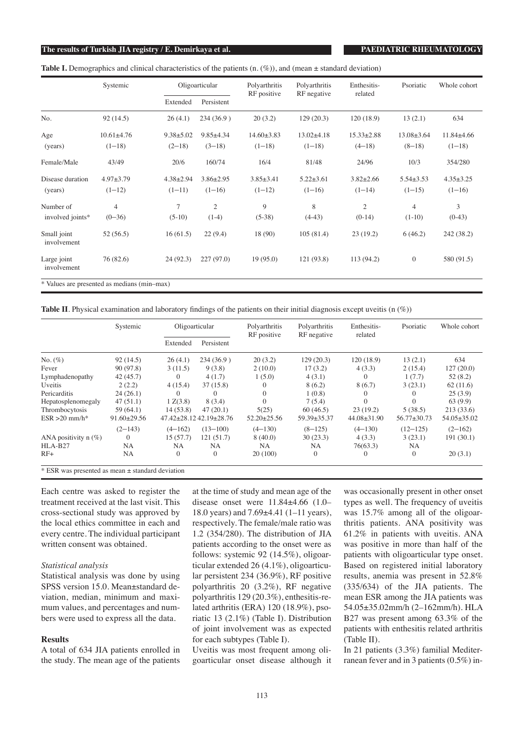### **The results of Turkish JIA registry / E. Demirkaya et al. PAEDIATRIC RHEUMATOLOGY**

| <b>Table I.</b> Demographics and clinical characteristics of the patients $(n \cdot (\%))$ , and (mean $\pm$ standard deviation) |  |  |  |
|----------------------------------------------------------------------------------------------------------------------------------|--|--|--|
|                                                                                                                                  |  |  |  |

|                                             | Systemic         |                 | Oligoarticular  | Polyarthritis<br>RF positive | Polyarthritis<br>RF negative | Enthesitis-<br>related | Psoriatic        | Whole cohort     |
|---------------------------------------------|------------------|-----------------|-----------------|------------------------------|------------------------------|------------------------|------------------|------------------|
|                                             |                  | Extended        | Persistent      |                              |                              |                        |                  |                  |
| No.                                         | 92(14.5)         | 26(4.1)         | 234(36.9)       | 20(3.2)                      | 129(20.3)                    | 120(18.9)              | 13(2.1)          | 634              |
| Age                                         | $10.61 \pm 4.76$ | $9.38 \pm 5.02$ | $9.85 \pm 4.34$ | $14.60 \pm 3.83$             | $13.02 \pm 4.18$             | $15.33 \pm 2.88$       | $13.08 \pm 3.64$ | $11.84 \pm 4.66$ |
| (years)                                     | $(1-18)$         | $(2-18)$        | $(3-18)$        | $(1-18)$                     | $(1-18)$                     | $(4-18)$               | $(8-18)$         | $(1-18)$         |
| Female/Male                                 | 43/49            | 20/6            | 160/74          | 16/4                         | 81/48                        | 24/96                  | 10/3             | 354/280          |
| Disease duration                            | $4.97 \pm 3.79$  | $4.38 \pm 2.94$ | $3.86 \pm 2.95$ | $3.85 \pm 3.41$              | $5.22 \pm 3.61$              | $3.82 \pm 2.66$        | $5.54 \pm 3.53$  | $4.35 \pm 3.25$  |
| (years)                                     | $(1-12)$         | $(1-11)$        | $(1-16)$        | $(1-12)$                     | $(1-16)$                     | $(1-14)$               | $(1-15)$         | $(1-16)$         |
| Number of                                   | $\overline{4}$   | $\overline{7}$  | $\overline{2}$  | 9                            | 8                            | 2                      | $\overline{4}$   | 3                |
| involved joints*                            | $(0-36)$         | $(5-10)$        | $(1-4)$         | $(5-38)$                     | $(4-43)$                     | $(0-14)$               | $(1-10)$         | $(0-43)$         |
| Small joint<br>involvement                  | 52(56.5)         | 16(61.5)        | 22(9.4)         | 18 (90)                      | 105(81.4)                    | 23(19.2)               | 6(46.2)          | 242 (38.2)       |
| Large joint<br>involvement                  | 76 (82.6)        | 24(92.3)        | 227(97.0)       | 19(95.0)                     | 121(93.8)                    | 113 (94.2)             | $\boldsymbol{0}$ | 580 (91.5)       |
| * Values are presented as medians (min-max) |                  |                 |                 |                              |                              |                        |                  |                  |

**Table II**. Physical examination and laboratory findings of the patients on their initial diagnosis except uveitis (n (%))

|                                                     | Systemic          | Oligoarticular |                        | Polyarthritis<br>RF positive | Polyarthritis<br>RF negative | Enthesitis-<br>related | Psoriatic         | Whole cohort      |
|-----------------------------------------------------|-------------------|----------------|------------------------|------------------------------|------------------------------|------------------------|-------------------|-------------------|
|                                                     |                   | Extended       | Persistent             |                              |                              |                        |                   |                   |
| $No. (\%)$                                          | 92(14.5)          | 26(4.1)        | 234(36.9)              | 20(3.2)                      | 129(20.3)                    | 120(18.9)              | 13(2.1)           | 634               |
| Fever                                               | 90 (97.8)         | 3(11.5)        | 9(3.8)                 | 2(10.0)                      | 17(3.2)                      | 4(3.3)                 | 2(15.4)           | 127(20.0)         |
| Lymphadenopathy                                     | 42(45.7)          | $\Omega$       | 4(1.7)                 | 1(5.0)                       | 4(3.1)                       |                        | 1(7.7)            | 52(8.2)           |
| Uveitis                                             | 2(2.2)            | 4(15.4)        | 37(15.8)               |                              | 8(6.2)                       | 8(6.7)                 | 3(23.1)           | 62(11.6)          |
| Pericarditis                                        | 24(26.1)          |                |                        | $\Omega$                     | 1(0.8)                       |                        |                   | 25(3.9)           |
| Hepatosplenomegaly                                  | 47(51.1)          | 1 Z(3.8)       | 8(3.4)                 | $\Omega$                     | 7(5.4)                       | $\Omega$               |                   | 63(9.9)           |
| Thrombocytosis                                      | 59(64.1)          | 14(53.8)       | 47(20.1)               | 5(25)                        | 60(46.5)                     | 23(19.2)               | 5(38.5)           | 213(33.6)         |
| $ESR > 20$ mm/h*                                    | $91.60 \pm 29.56$ |                | 47.42±28.1242.19±28.76 | $52.20 \pm 25.56$            | 59.39±35.37                  | $44.08 \pm 31.90$      | $56.77 \pm 30.73$ | $54.05 \pm 35.02$ |
|                                                     | $(2-143)$         | $(4-162)$      | $(13 - 100)$           | $(4 - 130)$                  | $(8-125)$                    | $(4-130)$              | $(12 - 125)$      | $(2-162)$         |
| ANA positivity $n(\%)$                              | $\Omega$          | 15(57.7)       | 121(51.7)              | 8(40.0)                      | 30(23.3)                     | 4(3.3)                 | 3(23.1)           | 191(30.1)         |
| $HLA-B27$                                           | NA                | NA.            | NA                     | NA                           | NА                           | 76(63.3)               | NA.               |                   |
| $RF+$                                               | NA                | $\Omega$       | $\Omega$               | 20(100)                      | $\mathbf{0}$                 |                        | $\Omega$          | 20(3.1)           |
| $*ECD$ was nucleoted as mean $+$ standard deviation |                   |                |                        |                              |                              |                        |                   |                   |

ESR was presented as mean  $\pm$  standard deviation

Each centre was asked to register the treatment received at the last visit. This cross-sectional study was approved by the local ethics committee in each and every centre. The individual participant written consent was obtained.

### *Statistical analysis*

Statistical analysis was done by using SPSS version 15.0. Mean±standard deviation, median, minimum and maximum values, and percentages and numbers were used to express all the data.

### **Results**

A total of 634 JIA patients enrolled in the study. The mean age of the patients at the time of study and mean age of the disease onset were 11.84±4.66 (1.0*–* 18.0 years) and 7.69±4.41 (1*–*11 years), respectively. The female/male ratio was 1.2 (354/280). The distribution of JIA patients according to the onset were as follows: systemic 92 (14.5%), oligoarticular extended 26 (4.1%), oligoarticular persistent 234 (36.9%), RF positive polyarthritis 20 (3.2%), RF negative polyarthritis 129 (20.3%), enthesitis-related arthritis (ERA) 120 (18.9%), psoriatic 13 (2.1%) (Table I). Distribution of joint involvement was as expected for each subtypes (Table I).

Uveitis was most frequent among oligoarticular onset disease although it was occasionally present in other onset types as well. The frequency of uveitis was 15.7% among all of the oligoarthritis patients. ANA positivity was 61.2% in patients with uveitis. ANA was positive in more than half of the patients with oligoarticular type onset. Based on registered initial laboratory results, anemia was present in 52.8% (335/634) of the JIA patients. The mean ESR among the JIA patients was 54.05±35.02mm/h (2*–*162mm/h). HLA B27 was present among 63.3% of the patients with enthesitis related arthritis (Table II).

In 21 patients (3.3%) familial Mediterranean fever and in 3 patients (0.5%) in-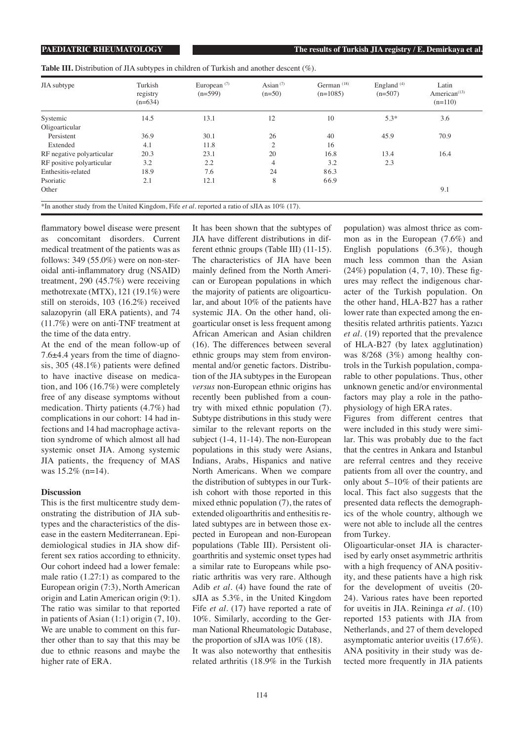**PAEDIATRIC RHEUMATOLOGY The results of Turkish JIA registry / E. Demirkaya et al.**

**Table III.** Distribution of JIA subtypes in children of Turkish and another descent (%).

| JIA subtype                                                                                            | Turkish<br>registry<br>$(n=634)$ | European $(7)$<br>$(n=599)$ | Asian $(7)$<br>$(n=50)$ | German $(18)$<br>$(n=1085)$ | England $(4)$<br>$(n=507)$ | Latin<br>American $(13)$<br>$(n=110)$ |
|--------------------------------------------------------------------------------------------------------|----------------------------------|-----------------------------|-------------------------|-----------------------------|----------------------------|---------------------------------------|
| Systemic                                                                                               | 14.5                             | 13.1                        | 12                      | 10                          | $5.3*$                     | 3.6                                   |
| Oligoarticular                                                                                         |                                  |                             |                         |                             |                            |                                       |
| Persistent                                                                                             | 36.9                             | 30.1                        | 26                      | 40                          | 45.9                       | 70.9                                  |
| Extended                                                                                               | 4.1                              | 11.8                        | $\overline{c}$          | 16                          |                            |                                       |
| RF negative polyarticular                                                                              | 20.3                             | 23.1                        | 20                      | 16.8                        | 13.4                       | 16.4                                  |
| RF positive polyarticular                                                                              | 3.2                              | 2.2                         | 4                       | 3.2                         | 2.3                        |                                       |
| Enthesitis-related                                                                                     | 18.9                             | 7.6                         | 24                      | 86.3                        |                            |                                       |
| Psoriatic                                                                                              | 2.1                              | 12.1                        | 8                       | 66.9                        |                            |                                       |
| Other                                                                                                  |                                  |                             |                         |                             |                            | 9.1                                   |
| *In another study from the United Kingdom, Fife <i>et al.</i> reported a ratio of sJIA as $10\%$ (17). |                                  |                             |                         |                             |                            |                                       |

flammatory bowel disease were present as concomitant disorders. Current medical treatment of the patients was as follows: 349 (55.0%) were on non-steroidal anti-inflammatory drug (NSAID) treatment, 290 (45.7%) were receiving methotrexate (MTX), 121 (19.1%) were still on steroids, 103 (16.2%) received salazopyrin (all ERA patients), and 74 (11.7%) were on anti-TNF treatment at the time of the data entry.

At the end of the mean follow-up of 7.6±4.4 years from the time of diagnosis, 305 (48.1%) patients were defined to have inactive disease on medication, and 106 (16.7%) were completely free of any disease symptoms without medication. Thirty patients (4.7%) had complications in our cohort: 14 had infections and 14 had macrophage activation syndrome of which almost all had systemic onset JIA. Among systemic JIA patients, the frequency of MAS was 15.2% (n=14).

### **Discussion**

This is the first multicentre study demonstrating the distribution of JIA subtypes and the characteristics of the disease in the eastern Mediterranean. Epidemiological studies in JIA show different sex ratios according to ethnicity. Our cohort indeed had a lower female: male ratio (1.27:1) as compared to the European origin (7:3), North American origin and Latin American origin (9:1). The ratio was similar to that reported in patients of Asian (1:1) origin (7, 10). We are unable to comment on this further other than to say that this may be due to ethnic reasons and maybe the higher rate of ERA.

It has been shown that the subtypes of JIA have different distributions in different ethnic groups (Table III) (11-15). The characteristics of JIA have been mainly defined from the North American or European populations in which the majority of patients are oligoarticular, and about 10% of the patients have systemic JIA. On the other hand, oligoarticular onset is less frequent among African American and Asian children (16). The differences between several ethnic groups may stem from environmental and/or genetic factors. Distribution of the JIA subtypes in the European *versus* non-European ethnic origins has recently been published from a country with mixed ethnic population (7). Subtype distributions in this study were similar to the relevant reports on the subject (1-4, 11-14). The non-European populations in this study were Asians, Indians, Arabs, Hispanics and native North Americans. When we compare the distribution of subtypes in our Turkish cohort with those reported in this mixed ethnic population (7), the rates of extended oligoarthritis and enthesitis related subtypes are in between those expected in European and non-European populations (Table III). Persistent oligoarthritis and systemic onset types had a similar rate to Europeans while psoriatic arthritis was very rare. Although Adib *et al*. (4) have found the rate of sJIA as 5.3%, in the United Kingdom Fife *et al*. (17) have reported a rate of 10%. Similarly, according to the German National Rheumatologic Database, the proportion of sJIA was 10% (18). It was also noteworthy that enthesitis related arthritis (18.9% in the Turkish

population) was almost thrice as common as in the European (7.6%) and English populations (6.3%), though much less common than the Asian  $(24%)$  population  $(4, 7, 10)$ . These figures may reflect the indigenous character of the Turkish population. On the other hand, HLA-B27 has a rather lower rate than expected among the enthesitis related arthritis patients. Yazıcı *et al*. (19) reported that the prevalence of HLA-B27 (by latex agglutination) was 8/268 (3%) among healthy controls in the Turkish population, comparable to other populations. Thus, other unknown genetic and/or environmental factors may play a role in the pathophysiology of high ERA rates.

Figures from different centres that were included in this study were similar. This was probably due to the fact that the centres in Ankara and Istanbul are referral centres and they receive patients from all over the country, and only about 5*–*10% of their patients are local. This fact also suggests that the presented data reflects the demographics of the whole country, although we were not able to include all the centres from Turkey.

Oligoarticular-onset JIA is characterised by early onset asymmetric arthritis with a high frequency of ANA positivity, and these patients have a high risk for the development of uveitis (20- 24). Various rates have been reported for uveitis in JIA. Reininga *et al*. (10) reported 153 patients with JIA from Netherlands, and 27 of them developed asymptomatic anterior uveitis (17.6%). ANA positivity in their study was detected more frequently in JIA patients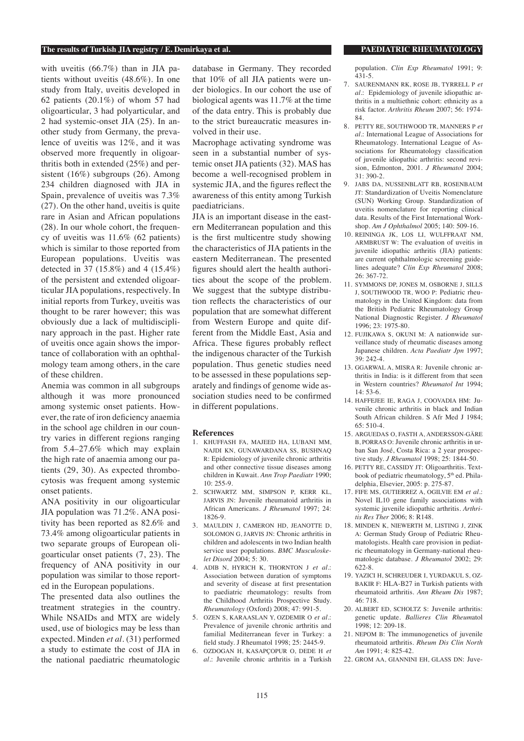# **The results of Turkish JIA registry / E. Demirkaya et al. PAEDIATRIC RHEUMATOLOGY**

with uveitis (66.7%) than in JIA patients without uveitis (48.6%). In one study from Italy, uveitis developed in 62 patients (20.1%) of whom 57 had oligoarticular, 3 had polyarticular, and 2 had systemic-onset JIA (25). In another study from Germany, the prevalence of uveitis was 12%, and it was observed more frequently in oligoarthritis both in extended (25%) and persistent (16%) subgroups (26). Among 234 children diagnosed with JIA in Spain, prevalence of uveitis was 7.3% (27). On the other hand, uveitis is quite rare in Asian and African populations (28). In our whole cohort, the frequency of uveitis was 11.6% (62 patients) which is similar to those reported from European populations. Uveitis was detected in 37 (15.8%) and 4 (15.4%) of the persistent and extended oligoarticular JIA populations, respectively. In initial reports from Turkey, uveitis was thought to be rarer however; this was obviously due a lack of multidisciplinary approach in the past. Higher rate of uveitis once again shows the importance of collaboration with an ophthalmology team among others, in the care of these children.

Anemia was common in all subgroups although it was more pronounced among systemic onset patients. However, the rate of iron deficiency anaemia in the school age children in our country varies in different regions ranging from 5.4*–*27.6% which may explain the high rate of anaemia among our patients (29, 30). As expected thrombocytosis was frequent among systemic onset patients.

ANA positivity in our oligoarticular JIA population was 71.2%. ANA positivity has been reported as 82.6% and 73.4% among oligoarticular patients in two separate groups of European oligoarticular onset patients (7, 23). The frequency of ANA positivity in our population was similar to those reported in the European populations.

The presented data also outlines the treatment strategies in the country. While NSAIDs and MTX are widely used, use of biologics may be less than expected. Minden *et al*. (31) performed a study to estimate the cost of JIA in the national paediatric rheumatologic

database in Germany. They recorded that 10% of all JIA patients were under biologics. In our cohort the use of biological agents was 11.7% at the time of the data entry. This is probably due to the strict bureaucratic measures involved in their use.

Macrophage activating syndrome was seen in a substantial number of systemic onset JIA patients (32). MAS has become a well-recognised problem in systemic JIA, and the figures reflect the awareness of this entity among Turkish paediatricians.

JIA is an important disease in the eastern Mediterranean population and this is the first multicentre study showing the characteristics of JIA patients in the eastern Mediterranean. The presented figures should alert the health authorities about the scope of the problem. We suggest that the subtype distribution reflects the characteristics of our population that are somewhat different from Western Europe and quite different from the Middle East, Asia and Africa. These figures probably reflect the indigenous character of the Turkish population. Thus genetic studies need to be assessed in these populations separately and findings of genome wide association studies need to be confirmed in different populations.

#### **References**

- 1. KHUFFASH FA, MAJEED HA, LUBANI MM, NAJDI KN, GUNAWARDANA SS, BUSHNAQ R: Epidemiology of juvenile chronic arthritis and other connective tissue diseases among children in Kuwait. *Ann Trop Paediatr* 1990; 10: 255-9.
- 2. SCHWARTZ MM, SIMPSON P, KERR KL, JARVIS JN: Juvenile rheumatoid arthritis in African Americans. *J Rheumatol* 1997; 24: 1826-9.
- 3. MAULDIN J, CAMERON HD, JEANOTTE D, SOLOMON G, JARVIS JN: Chronic arthritis in children and adolescents in two Indian health service user populations. *BMC Musculoskelet Disord* 2004; 5: 30.
- 4. ADIB N, HYRICH K, THORNTON J *et al*.: Association between duration of symptoms and severity of disease at first presentation to paediatric rheumatology: results from the Childhood Arthritis Prospective Study. *Rheumatology* (Oxford) 2008; 47: 991-5.
- 5. OZEN S, KARAASLAN Y, OZDEMIR O *et al*.: Prevalence of juvenile chronic arthritis and familial Mediterranean fever in Turkey: a field study. J Rheumatol 1998; 25: 2445-9.
- 6. OZDOGAN H, KASAPÇOPUR O, DEDE H *et al*.: Juvenile chronic arthritis in a Turkish

population. *Clin Exp Rheumatol* 1991; 9: 431-5.

- 7. SAURENMANN RK, ROSE JB, TYRRELL P *et al*.: Epidemiology of juvenile idiopathic arthritis in a multiethnic cohort: ethnicity as a risk factor. *Arthritis Rheum* 2007; 56: 1974- 84.
- 8. PETTY RE, SOUTHWOOD TR, MANNERS P *et al*.: International League of Associations for Rheumatology. International League of Associations for Rheumatology classification of juvenile idiopathic arthritis: second revision, Edmonton, 2001. *J Rheumatol* 2004; 31: 390-2.
- 9. JABS DA, NUSSENBLATT RB, ROSENBAUM JT: Standardization of Uveitis Nomenclature (SUN) Working Group. Standardization of uveitis nomenclature for reporting clinical data. Results of the First International Workshop. *Am J Ophthalmol* 2005; 140: 509-16.
- 10. REININGA JK, LOS LI, WULFFRAAT NM, ARMBRUST W: The evaluation of uveitis in juvenile idiopathic arthritis (JIA) patients: are current ophthalmologic screening guidelines adequate? *Clin Exp Rheumatol* 2008; 26: 367-72.
- 11. SYMMONS DP, JONES M, OSBORNE J, SILLS J, SOUTHWOOD TR, WOO P: Pediatric rheumatology in the United Kingdom: data from the British Pediatric Rheumatology Group National Diagnostic Register. *J Rheumatol* 1996; 23: 1975-80.
- 12. FUJIKAWA S, OKUNI M: A nationwide surveillance study of rheumatic diseases among Japanese children. *Acta Paediatr Jpn* 1997; 39: 242-4.
- 13. GGARWAL A, MISRA R: Juvenile chronic arthritis in India: is it different from that seen in Western countries? *Rheumatol Int* 1994; 14: 53-6.
- 14. HAFFEJEE IE, RAGA J, COOVADIA HM: Juvenile chronic arthritis in black and Indian South African children. S Afr Med J 1984; 65: 510-4.
- 15. ARGUEDAS O, FASTH A, ANDERSSON-GÄRE B, PORRAS O: Juvenile chronic arthritis in urban San José, Costa Rica: a 2 year prospective study. *J Rheumatol* 1998; 25: 1844-50.
- 16. PETTY RE, CASSIDY JT: Oligoarthritis. Textbook of pediatric rheumatology, 5<sup>th</sup> ed. Philadelphia, Elsevier, 2005: p. 275-87.
- 17. FIFE MS, GUTIERREZ A, OGILVIE EM *et al*.: Novel IL10 gene family associations with systemic juvenile idiopathic arthritis. *Arthritis Res Ther* 2006; 8: R148.
- 18. MINDEN K, NIEWERTH M, LISTING J, ZINK A: German Study Group of Pediatric Rheumatologists. Health care provision in pediatric rheumatology in Germany-national rheumatologic database. *J Rheumatol* 2002; 29: 622-8.
- 19. YAZICI H, SCHREUDER I, YURDAKUL S, OZ-BAKIR F: HLA-B27 in Turkish patients with rheumatoid arthritis. *Ann Rheum Dis* 1987; 46: 718.
- 20. ALBERT ED, SCHOLTZ S: Juvenile arthritis: genetic update. *Ballieres Clin Rheum*atol  $1998: 12: 209-18$ .
- 21. NEPOM B: The immunogenetics of juvenile rheumatoid arthritis. *Rheum Dis Clin North Am* 1991; 4: 825-42.
- 22. GROM AA, GIANNINI EH, GLASS DN: Juve-